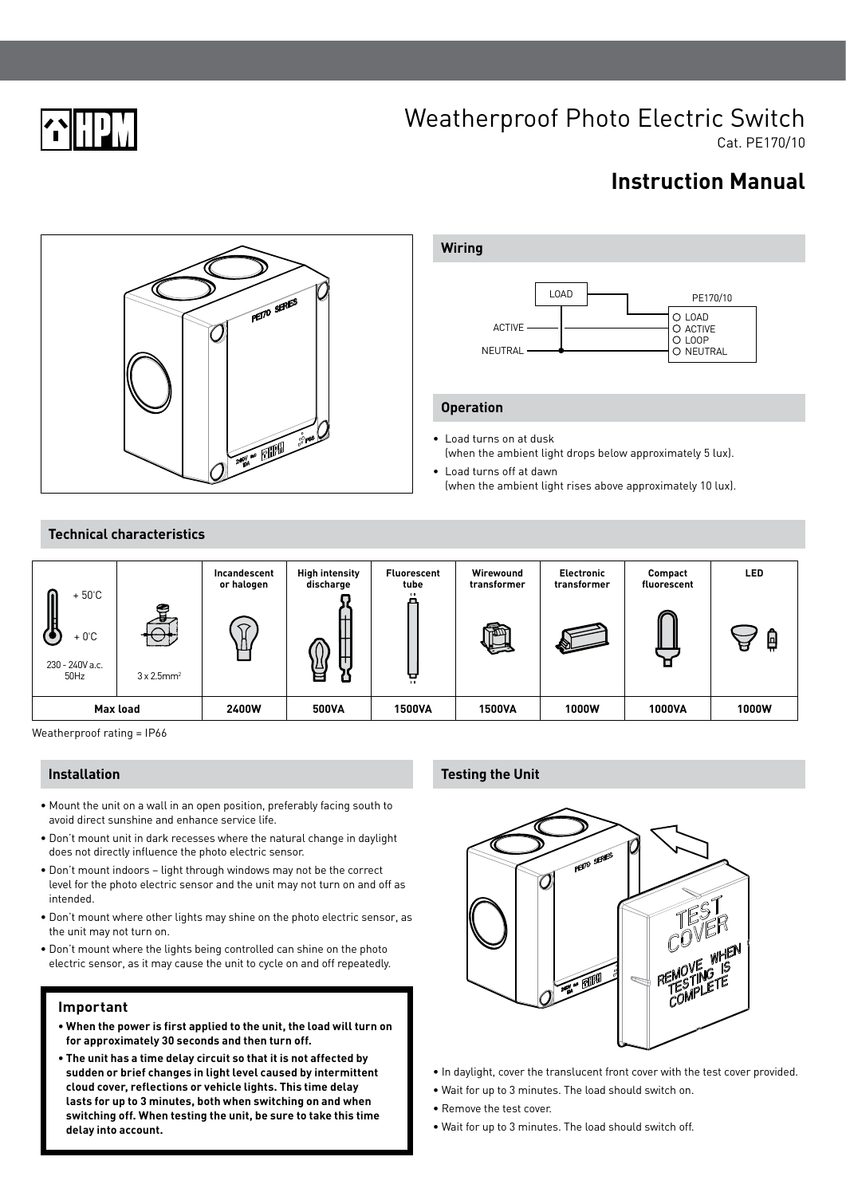

# Weatherproof Photo Electric Switch

Cat. PE170/10

# **Instruction Manual**





# **Operation**

- Load turns on at dusk (when the ambient light drops below approximately 5 lux).
- Load turns off at dawn (when the ambient light rises above approximately 10 lux).

# **Technical characteristics**



Weatherproof rating = IP66

# **Installation**

- Mount the unit on a wall in an open position, preferably facing south to avoid direct sunshine and enhance service life.
- Don't mount unit in dark recesses where the natural change in daylight does not directly influence the photo electric sensor.
- Don't mount indoors light through windows may not be the correct level for the photo electric sensor and the unit may not turn on and off as intended.
- Don't mount where other lights may shine on the photo electric sensor, as the unit may not turn on.
- Don't mount where the lights being controlled can shine on the photo electric sensor, as it may cause the unit to cycle on and off repeatedly.

#### **Important**

- **When the power is first applied to the unit, the load will turn on for approximately 30 seconds and then turn off.**
- **The unit has a time delay circuit so that it is not affected by sudden or brief changes in light level caused by intermittent cloud cover, reflections or vehicle lights. This time delay lasts for up to 3 minutes, both when switching on and when switching off. When testing the unit, be sure to take this time delay into account.**

# **Testing the Unit**



- In daylight, cover the translucent front cover with the test cover provided.
- Wait for up to 3 minutes. The load should switch on.
- Remove the test cover.
- Wait for up to 3 minutes. The load should switch off.